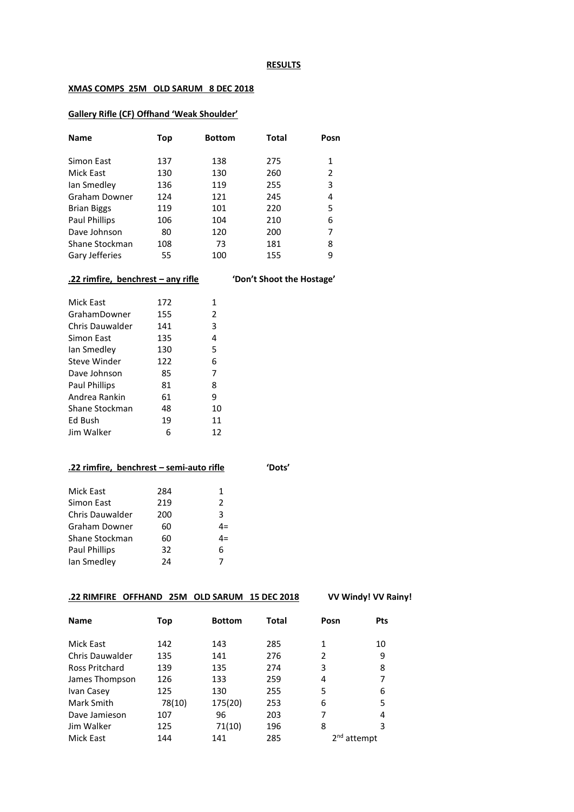#### **RESULTS**

#### **XMAS COMPS 25M OLD SARUM 8 DEC 2018**

#### **Gallery Rifle (CF) Offhand 'Weak Shoulder'**

| <b>Name</b>        | Top | <b>Bottom</b> | Total | Posn |
|--------------------|-----|---------------|-------|------|
| Simon East         | 137 | 138           | 275   | 1    |
| Mick East          | 130 | 130           | 260   | 2    |
| lan Smedley        | 136 | 119           | 255   | 3    |
| Graham Downer      | 124 | 121           | 245   | 4    |
| <b>Brian Biggs</b> | 119 | 101           | 220   | 5    |
| Paul Phillips      | 106 | 104           | 210   | 6    |
| Dave Johnson       | 80  | 120           | 200   | 7    |
| Shane Stockman     | 108 | 73            | 181   | 8    |
| Gary Jefferies     | 55  | 100           | 155   | 9    |

# **.22 rimfire, benchrest – any rifle 'Don't Shoot the Hostage'**

| Mick East              | 172 | 1  |
|------------------------|-----|----|
| GrahamDowner           | 155 | 2  |
| <b>Chris Dauwalder</b> | 141 | 3  |
| Simon East             | 135 | 4  |
| lan Smedley            | 130 | 5  |
| Steve Winder           | 122 | 6  |
| Dave Johnson           | 85  | 7  |
| <b>Paul Phillips</b>   | 81  | 8  |
| Andrea Rankin          | 61  | 9  |
| Shane Stockman         | 48  | 10 |
| Ed Bush                | 19  | 11 |
| Jim Walker             | 6   | 12 |

|     |                                                    | 'Dots'                                   |
|-----|----------------------------------------------------|------------------------------------------|
| 284 | 1                                                  |                                          |
| 219 | 2                                                  |                                          |
| 200 | 3                                                  |                                          |
| 60  | $4=$                                               |                                          |
| 60  | $4=$                                               |                                          |
| 32  | 6                                                  |                                          |
| 24  |                                                    |                                          |
|     | Chris Dauwalder<br>Graham Downer<br>Shane Stockman | .22 rimfire, benchrest – semi-auto rifle |

# **.22 RIMFIRE OFFHAND 25M OLD SARUM 15 DEC 2018 VV Windy! VV Rainy!**

| <b>Name</b>            | Top    | <b>Bottom</b> | <b>Total</b> | Posn | <b>Pts</b> |
|------------------------|--------|---------------|--------------|------|------------|
| Mick East              | 142    | 143           | 285          | 1    | 10         |
| <b>Chris Dauwalder</b> | 135    | 141           | 276          | 2    | 9          |
| <b>Ross Pritchard</b>  | 139    | 135           | 274          | 3    | 8          |
| James Thompson         | 126    | 133           | 259          | 4    | 7          |
| Ivan Casey             | 125    | 130           | 255          | 5    | 6          |
| Mark Smith             | 78(10) | 175(20)       | 253          | 6    | 5          |
| Dave Jamieson          | 107    | 96            | 203          | 7    | 4          |
| Jim Walker             | 125    | 71(10)        | 196          | 8    | 3          |
| Mick East              | 144    | 141           | 285          |      | attempt    |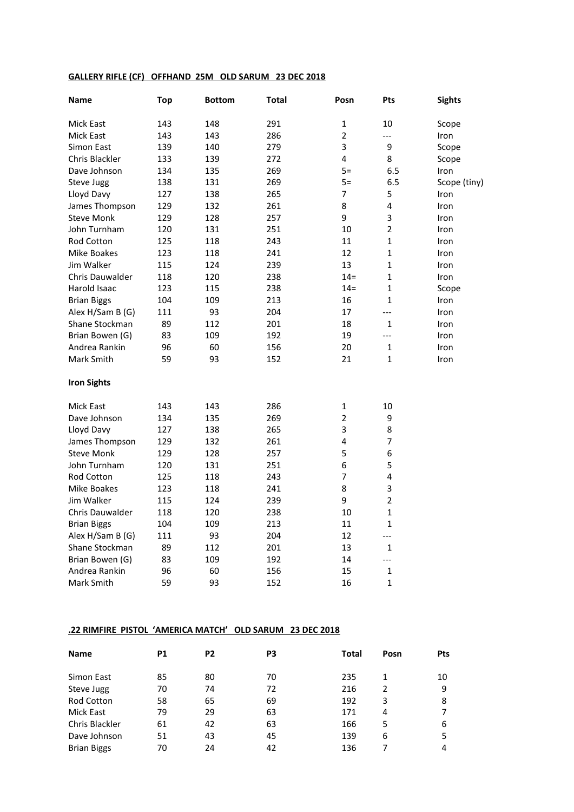# **GALLERY RIFLE (CF) OFFHAND 25M OLD SARUM 23 DEC 2018**

| Name               | <b>Top</b> | <b>Bottom</b> | <b>Total</b> | Posn           | Pts                     | <b>Sights</b> |
|--------------------|------------|---------------|--------------|----------------|-------------------------|---------------|
| Mick East          | 143        | 148           | 291          | 1              | 10                      | Scope         |
| Mick East          | 143        | 143           | 286          | $\mathbf 2$    | $\overline{a}$          | Iron          |
| Simon East         | 139        | 140           | 279          | 3              | 9                       | Scope         |
| Chris Blackler     | 133        | 139           | 272          | 4              | 8                       | Scope         |
| Dave Johnson       | 134        | 135           | 269          | $5=$           | 6.5                     | Iron          |
| Steve Jugg         | 138        | 131           | 269          | $5=$           | 6.5                     | Scope (tiny)  |
| Lloyd Davy         | 127        | 138           | 265          | $\overline{7}$ | 5                       | Iron          |
| James Thompson     | 129        | 132           | 261          | 8              | 4                       | Iron          |
| <b>Steve Monk</b>  | 129        | 128           | 257          | 9              | 3                       | Iron          |
| John Turnham       | 120        | 131           | 251          | 10             | $\overline{2}$          | Iron          |
| <b>Rod Cotton</b>  | 125        | 118           | 243          | 11             | $\mathbf{1}$            | Iron          |
| Mike Boakes        | 123        | 118           | 241          | 12             | $\mathbf{1}$            | Iron          |
| Jim Walker         | 115        | 124           | 239          | 13             | $\mathbf{1}$            | Iron          |
| Chris Dauwalder    | 118        | 120           | 238          | $14 =$         | $\mathbf{1}$            | Iron          |
| Harold Isaac       | 123        | 115           | 238          | $14 =$         | 1                       | Scope         |
| <b>Brian Biggs</b> | 104        | 109           | 213          | 16             | $\mathbf{1}$            | Iron          |
| Alex H/Sam B (G)   | 111        | 93            | 204          | 17             | $\overline{a}$          | Iron          |
| Shane Stockman     | 89         | 112           | 201          | 18             | $\mathbf{1}$            | Iron          |
| Brian Bowen (G)    | 83         | 109           | 192          | 19             | $\overline{a}$          | Iron          |
| Andrea Rankin      | 96         | 60            | 156          | 20             | 1                       | Iron          |
| Mark Smith         | 59         | 93            | 152          | 21             | $\mathbf{1}$            | Iron          |
| <b>Iron Sights</b> |            |               |              |                |                         |               |
| Mick East          | 143        | 143           | 286          | 1              | 10                      |               |
| Dave Johnson       | 134        | 135           | 269          | $\overline{2}$ | 9                       |               |
| Lloyd Davy         | 127        | 138           | 265          | 3              | 8                       |               |
| James Thompson     | 129        | 132           | 261          | 4              | $\overline{7}$          |               |
| <b>Steve Monk</b>  | 129        | 128           | 257          | 5              | 6                       |               |
| John Turnham       | 120        | 131           | 251          | 6              | 5                       |               |
| <b>Rod Cotton</b>  | 125        | 118           | 243          | 7              | $\overline{\mathbf{4}}$ |               |
| Mike Boakes        | 123        | 118           | 241          | 8              | 3                       |               |
| Jim Walker         | 115        | 124           | 239          | 9              | $\overline{2}$          |               |
| Chris Dauwalder    | 118        | 120           | 238          | 10             | $\mathbf{1}$            |               |
| <b>Brian Biggs</b> | 104        | 109           | 213          | 11             | $\mathbf{1}$            |               |
| Alex H/Sam B (G)   | 111        | 93            | 204          | 12             | ---                     |               |
| Shane Stockman     | 89         | 112           | 201          | 13             | 1                       |               |
| Brian Bowen (G)    | 83         | 109           | 192          | 14             | ---                     |               |
| Andrea Rankin      | 96         | 60            | 156          | 15             | $\mathbf{1}$            |               |
| Mark Smith         | 59         | 93            | 152          | 16             | $\mathbf{1}$            |               |

# **.22 RIMFIRE PISTOL 'AMERICA MATCH' OLD SARUM 23 DEC 2018**

| <b>Name</b>        | <b>P1</b> | P <sub>2</sub> | P3 | Total | Posn | <b>Pts</b> |
|--------------------|-----------|----------------|----|-------|------|------------|
| Simon East         | 85        | 80             | 70 | 235   | 1    | 10         |
| Steve Jugg         | 70        | 74             | 72 | 216   | 2    | 9          |
| <b>Rod Cotton</b>  | 58        | 65             | 69 | 192   | 3    | 8          |
| Mick East          | 79        | 29             | 63 | 171   | 4    |            |
| Chris Blackler     | 61        | 42             | 63 | 166   | 5    | 6          |
| Dave Johnson       | 51        | 43             | 45 | 139   | 6    | 5          |
| <b>Brian Biggs</b> | 70        | 24             | 42 | 136   |      | 4          |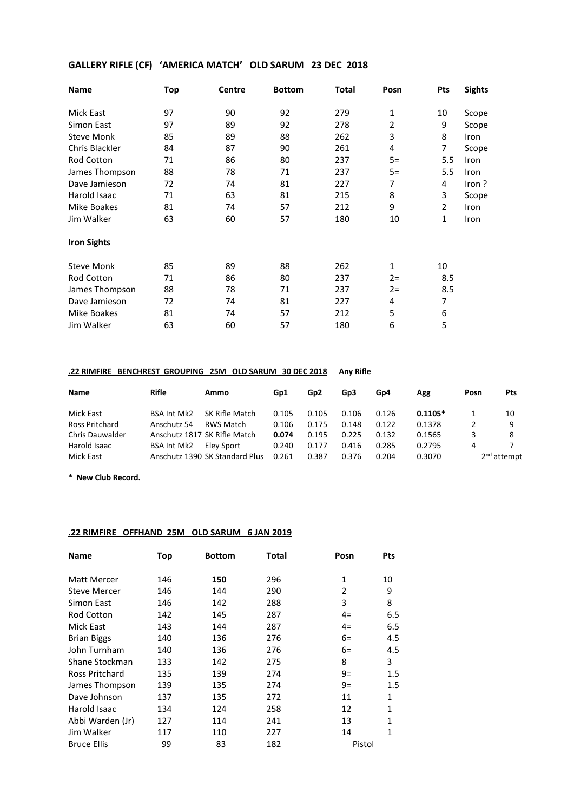# **GALLERY RIFLE (CF) 'AMERICA MATCH' OLD SARUM 23 DEC 2018**

| <b>Name</b>        | Top | <b>Centre</b> | <b>Bottom</b> | <b>Total</b> | Posn  | Pts            | <b>Sights</b> |
|--------------------|-----|---------------|---------------|--------------|-------|----------------|---------------|
| Mick East          | 97  | 90            | 92            | 279          | 1     | 10             | Scope         |
| Simon East         | 97  | 89            | 92            | 278          | 2     | 9              | Scope         |
| <b>Steve Monk</b>  | 85  | 89            | 88            | 262          | 3     | 8              | Iron          |
| Chris Blackler     | 84  | 87            | 90            | 261          | 4     | 7              | Scope         |
| Rod Cotton         | 71  | 86            | 80            | 237          | $5=$  | 5.5            | Iron          |
| James Thompson     | 88  | 78            | 71            | 237          | $5=$  | 5.5            | Iron          |
| Dave Jamieson      | 72  | 74            | 81            | 227          | 7     | 4              | Iron?         |
| Harold Isaac       | 71  | 63            | 81            | 215          | 8     | 3              | Scope         |
| <b>Mike Boakes</b> | 81  | 74            | 57            | 212          | 9     | $\overline{2}$ | Iron          |
| Jim Walker         | 63  | 60            | 57            | 180          | 10    | $\mathbf{1}$   | Iron          |
| <b>Iron Sights</b> |     |               |               |              |       |                |               |
| <b>Steve Monk</b>  | 85  | 89            | 88            | 262          | 1     | 10             |               |
| Rod Cotton         | 71  | 86            | 80            | 237          | $2 =$ | 8.5            |               |
| James Thompson     | 88  | 78            | 71            | 237          | $2 =$ | 8.5            |               |
| Dave Jamieson      | 72  | 74            | 81            | 227          | 4     | 7              |               |
| Mike Boakes        | 81  | 74            | 57            | 212          | 5     | 6              |               |
| Jim Walker         | 63  | 60            | 57            | 180          | 6     | 5              |               |

#### **.22 RIMFIRE BENCHREST GROUPING 25M OLD SARUM 30 DEC 2018 Any Rifle**

| Name                   | Rifle              | Ammo                           | Gp1   | Gp <sub>2</sub> | Gp3   | Gp4   | Agg       | Posn                    | <b>Pts</b> |
|------------------------|--------------------|--------------------------------|-------|-----------------|-------|-------|-----------|-------------------------|------------|
| Mick East              | <b>BSA Int Mk2</b> | SK Rifle Match                 | 0.105 | 0.105           | 0.106 | 0.126 | $0.1105*$ |                         | 10         |
| Ross Pritchard         | Anschutz 54        | RWS Match                      | 0.106 | 0.175           | 0.148 | 0.122 | 0.1378    |                         | 9          |
| <b>Chris Dauwalder</b> |                    | Anschutz 1817 SK Rifle Match   | 0.074 | 0.195           | 0.225 | 0.132 | 0.1565    |                         | 8          |
| Harold Isaac           | <b>BSA Int Mk2</b> | Elev Sport                     | 0.240 | 0.177           | 0.416 | 0.285 | 0.2795    | 4                       |            |
| Mick East              |                    | Anschutz 1390 SK Standard Plus | 0.261 | 0.387           | 0.376 | 0.204 | 0.3070    | 2 <sup>nd</sup> attempt |            |

**\* New Club Record.**

#### **.22 RIMFIRE OFFHAND 25M OLD SARUM 6 JAN 2019**

| <b>Name</b>           | <b>Top</b> | <b>Bottom</b> | Total | Posn         | <b>Pts</b>   |
|-----------------------|------------|---------------|-------|--------------|--------------|
| <b>Matt Mercer</b>    | 146        | 150           | 296   | $\mathbf{1}$ | 10           |
| <b>Steve Mercer</b>   | 146        | 144           | 290   | 2            | 9            |
| Simon East            | 146        | 142           | 288   | 3            | 8            |
| <b>Rod Cotton</b>     | 142        | 145           | 287   | $4=$         | 6.5          |
| Mick East             | 143        | 144           | 287   | $4=$         | 6.5          |
| <b>Brian Biggs</b>    | 140        | 136           | 276   | $6=$         | 4.5          |
| John Turnham          | 140        | 136           | 276   | $6=$         | 4.5          |
| Shane Stockman        | 133        | 142           | 275   | 8            | 3            |
| <b>Ross Pritchard</b> | 135        | 139           | 274   | $9=$         | 1.5          |
| James Thompson        | 139        | 135           | 274   | 9=           | 1.5          |
| Dave Johnson          | 137        | 135           | 272   | 11           | $\mathbf{1}$ |
| Harold Isaac          | 134        | 124           | 258   | 12           | 1            |
| Abbi Warden (Jr)      | 127        | 114           | 241   | 13           | 1            |
| Jim Walker            | 117        | 110           | 227   | 14           | $\mathbf{1}$ |
| <b>Bruce Ellis</b>    | 99         | 83            | 182   | Pistol       |              |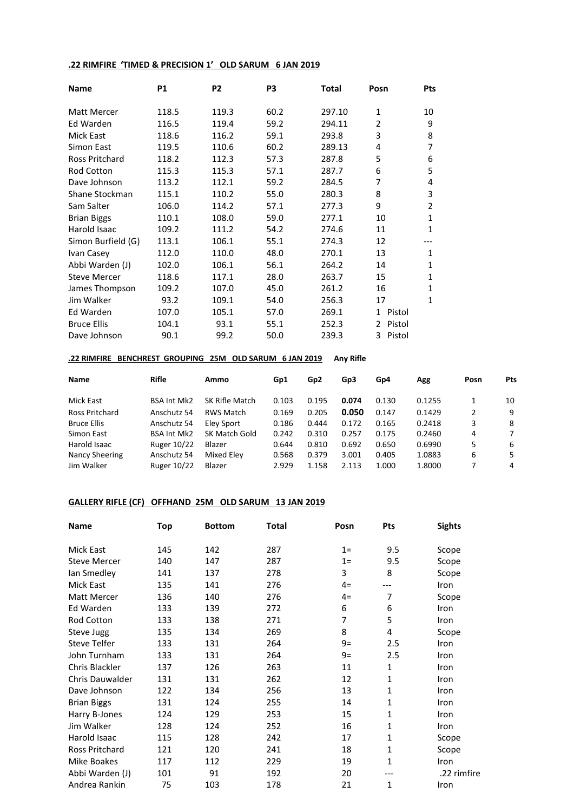#### **.22 RIMFIRE 'TIMED & PRECISION 1' OLD SARUM 6 JAN 2019**

| <b>Name</b>         | <b>P1</b> | P <sub>2</sub> | P3   | <b>Total</b> | Posn                    | Pts            |
|---------------------|-----------|----------------|------|--------------|-------------------------|----------------|
| <b>Matt Mercer</b>  | 118.5     | 119.3          | 60.2 | 297.10       | $\mathbf{1}$            | 10             |
| Ed Warden           | 116.5     | 119.4          | 59.2 | 294.11       | 2                       | 9              |
| <b>Mick East</b>    | 118.6     | 116.2          | 59.1 | 293.8        | 3                       | 8              |
| Simon East          | 119.5     | 110.6          | 60.2 | 289.13       | 4                       | $\overline{7}$ |
| Ross Pritchard      | 118.2     | 112.3          | 57.3 | 287.8        | 5                       | 6              |
| <b>Rod Cotton</b>   | 115.3     | 115.3          | 57.1 | 287.7        | 6                       | 5              |
| Dave Johnson        | 113.2     | 112.1          | 59.2 | 284.5        | 7                       | 4              |
| Shane Stockman      | 115.1     | 110.2          | 55.0 | 280.3        | 8                       | 3              |
| Sam Salter          | 106.0     | 114.2          | 57.1 | 277.3        | 9                       | 2              |
| <b>Brian Biggs</b>  | 110.1     | 108.0          | 59.0 | 277.1        | 10                      | $\mathbf{1}$   |
| Harold Isaac        | 109.2     | 111.2          | 54.2 | 274.6        | 11                      | 1              |
| Simon Burfield (G)  | 113.1     | 106.1          | 55.1 | 274.3        | 12                      |                |
| Ivan Casey          | 112.0     | 110.0          | 48.0 | 270.1        | 13                      | $\mathbf{1}$   |
| Abbi Warden (J)     | 102.0     | 106.1          | 56.1 | 264.2        | 14                      | $\mathbf{1}$   |
| <b>Steve Mercer</b> | 118.6     | 117.1          | 28.0 | 263.7        | 15                      | 1              |
| James Thompson      | 109.2     | 107.0          | 45.0 | 261.2        | 16                      | 1              |
| Jim Walker          | 93.2      | 109.1          | 54.0 | 256.3        | 17                      | $\mathbf{1}$   |
| Ed Warden           | 107.0     | 105.1          | 57.0 | 269.1        | Pistol<br>1             |                |
| <b>Bruce Ellis</b>  | 104.1     | 93.1           | 55.1 | 252.3        | Pistol<br>$\mathcal{P}$ |                |
| Dave Johnson        | 90.1      | 99.2           | 50.0 | 239.3        | Pistol<br>3             |                |

#### **.22 RIMFIRE BENCHREST GROUPING 25M OLD SARUM 6 JAN 2019 Any Rifle**

| Name               | <b>Rifle</b>       | Ammo             | Gp1   | Gp <sub>2</sub> | Gp3   | Gp4   | Agg    | Posn | Pts |
|--------------------|--------------------|------------------|-------|-----------------|-------|-------|--------|------|-----|
| Mick East          | <b>BSA Int Mk2</b> | SK Rifle Match   | 0.103 | 0.195           | 0.074 | 0.130 | 0.1255 |      | 10  |
| Ross Pritchard     | Anschutz 54        | <b>RWS Match</b> | 0.169 | 0.205           | 0.050 | 0.147 | 0.1429 | 2    | 9   |
| <b>Bruce Ellis</b> | Anschutz 54        | Eley Sport       | 0.186 | 0.444           | 0.172 | 0.165 | 0.2418 | 3    | -8  |
| Simon East         | <b>BSA Int Mk2</b> | SK Match Gold    | 0.242 | 0.310           | 0.257 | 0.175 | 0.2460 | 4    | 7   |
| Harold Isaac       | Ruger 10/22        | Blazer           | 0.644 | 0.810           | 0.692 | 0.650 | 0.6990 | 5    | 6   |
| Nancy Sheering     | Anschutz 54        | Mixed Elev       | 0.568 | 0.379           | 3.001 | 0.405 | 1.0883 | 6    | 5   |
| Jim Walker         | Ruger 10/22        | Blazer           | 2.929 | 1.158           | 2.113 | 1.000 | 1.8000 |      | 4   |

# **GALLERY RIFLE (CF) OFFHAND 25M OLD SARUM 13 JAN 2019**

| Name                   | Top | <b>Bottom</b> | <b>Total</b> | Posn  | Pts | <b>Sights</b> |
|------------------------|-----|---------------|--------------|-------|-----|---------------|
| Mick East              | 145 | 142           | 287          | $1=$  | 9.5 | Scope         |
| <b>Steve Mercer</b>    | 140 | 147           | 287          | $1 =$ | 9.5 | Scope         |
| lan Smedley            | 141 | 137           | 278          | 3     | 8   | Scope         |
| <b>Mick East</b>       | 135 | 141           | 276          | $4=$  | --- | Iron          |
| Matt Mercer            | 136 | 140           | 276          | $4=$  | 7   | Scope         |
| Ed Warden              | 133 | 139           | 272          | 6     | 6   | Iron          |
| <b>Rod Cotton</b>      | 133 | 138           | 271          | 7     | 5   | Iron          |
| Steve Jugg             | 135 | 134           | 269          | 8     | 4   | Scope         |
| Steve Telfer           | 133 | 131           | 264          | 9=    | 2.5 | Iron          |
| John Turnham           | 133 | 131           | 264          | $9=$  | 2.5 | Iron          |
| Chris Blackler         | 137 | 126           | 263          | 11    | 1   | Iron          |
| <b>Chris Dauwalder</b> | 131 | 131           | 262          | 12    | 1   | Iron          |
| Dave Johnson           | 122 | 134           | 256          | 13    | 1   | Iron          |
| <b>Brian Biggs</b>     | 131 | 124           | 255          | 14    | 1   | Iron          |
| Harry B-Jones          | 124 | 129           | 253          | 15    | 1   | Iron          |
| Jim Walker             | 128 | 124           | 252          | 16    | 1   | Iron          |
| Harold Isaac           | 115 | 128           | 242          | 17    | 1   | Scope         |
| Ross Pritchard         | 121 | 120           | 241          | 18    | 1   | Scope         |
| <b>Mike Boakes</b>     | 117 | 112           | 229          | 19    | 1   | Iron          |
| Abbi Warden (J)        | 101 | 91            | 192          | 20    | --- | .22 rimfire   |
| Andrea Rankin          | 75  | 103           | 178          | 21    | 1   | Iron          |